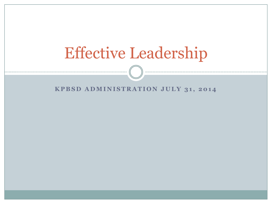# Effective Leadership

#### **KPBSD ADMINISTRATION JULY 31, 2014**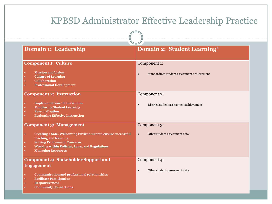#### KPBSD Administrator Effective Leadership Practice **Domain 1: Leadership Domain 2: Student Learning**\* **Component 1: Culture Mission and Vision Culture of Learning Collaboration Professional Development** Component 1: Standardized student assessment achievement **Component 2: Instruction Implementation of Curriculum Monitoring Student Learning Personalization Evaluating Effective Instruction** Component 2: District student assessment achievement **Component 3: Management Creating a Safe, Welcoming Environment to ensure successful teaching and learning Solving Problems or Concerns Working within Policies, Laws, and Regulations Managing Resources** Component 3: Other student assessment data **Component 4: Stakeholder Support and Engagement Communication and professional relationships Facilitate Participation Responsiveness Community Connections** Component 4: Other student assessment data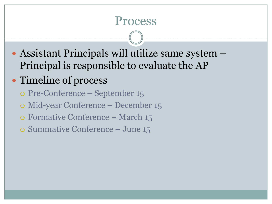### Process

 Assistant Principals will utilize same system – Principal is responsible to evaluate the AP

### • Timeline of process

- Pre-Conference September 15
- Mid-year Conference December 15
- Formative Conference March 15
- Summative Conference June 15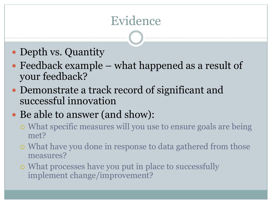## Evidence

- Depth vs. Quantity
- Feedback example what happened as a result of your feedback?
- Demonstrate a track record of significant and successful innovation
- Be able to answer (and show):
	- What specific measures will you use to ensure goals are being met?
	- What have you done in response to data gathered from those measures?
	- What processes have you put in place to successfully implement change/improvement?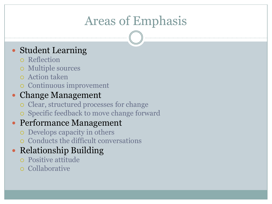## Areas of Emphasis

#### Student Learning

- Reflection
- Multiple sources
- Action taken
- Continuous improvement

#### • Change Management

- Clear, structured processes for change
- Specific feedback to move change forward

#### • Performance Management

- Develops capacity in others
- Conducts the difficult conversations

#### • Relationship Building

- Positive attitude
- o Collaborative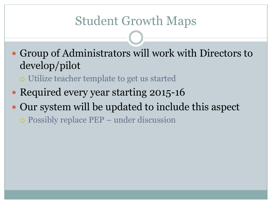### Student Growth Maps

 Group of Administrators will work with Directors to develop/pilot

Utilize teacher template to get us started

- Required every year starting 2015-16
- Our system will be updated to include this aspect

Possibly replace PEP – under discussion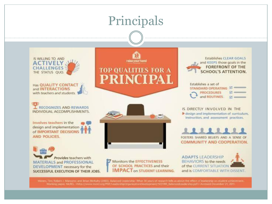## Principals

**TOP QUALITIES FOR A** 

**PRINCIPAI** 



**Has QUALITY CONTACT** and **INTERACTIONS** with teachers and students.

**I RECOGNIZES AND REWARDS** INDIVIDUAL ACCOMPLISHMENTS.

Involves teachers in the design and implementation of IMPORTANT DECISIONS **AND POLICIES.** 

**Provides** teachers with MATERIALS and PROFESSIONAL DEVELOPMENT necessary for the SUCCESSFUL EXECUTION OF THEIR JOBS.

Monitors the EFFECTIVENESS OF SCHOOL PRACTICES and their **IMPACT ON STUDENT LEARNING.** 

**Establishes CLEAR GOALS** and KEEPS those goals in the **FOREFRONT OF THE SCHOOL'S ATTENTION.** 



IS DIRECTLY INVOLVED IN THE lesign and implementation of curriculum, instruction, and assessment practices.

FOSTERS SHARED BELIEFS AND A SENSE OF

**COMMUNITY AND COOPERATION.** 

**ADAPTS LEADERSHIP** BEHAVIORS to the needs of the CURRENT SITUATION and is COMFORTABLE WITH DISSENT.

Working paper, McREL, <http://www.mcrel.org/PDF/LeadershipOrganizationDevelopment/5031RII, BalancedLeadership.pdf > Accessed December 21, 2011.